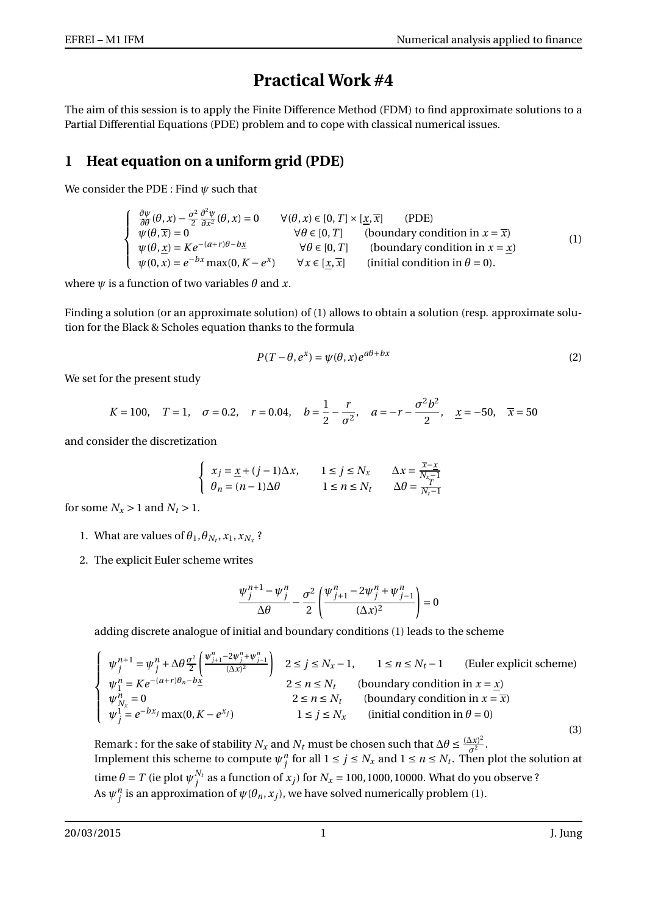## **Practical Work #4**

The aim of this session is to apply the Finite Difference Method (FDM) to find approximate solutions to a Partial Differential Equations (PDE) problem and to cope with classical numerical issues.

## **1 Heat equation on a uniform grid (PDE)**

We consider the PDE : Find *ψ* such that

| $\frac{\partial \psi}{\partial \theta}(\theta, x) - \frac{\sigma^2}{2} \frac{\partial^2 \psi}{\partial x^2}(\theta, x) = 0$ | $\forall (\theta, x) \in [0, T] \times [x, \overline{x}]$ | (PDE)                                       |     |
|-----------------------------------------------------------------------------------------------------------------------------|-----------------------------------------------------------|---------------------------------------------|-----|
| $\psi(\theta,\overline{x})=0$                                                                                               | $\forall \theta \in [0, T]$                               | (boundary condition in $x = \overline{x}$ ) | (1) |
| $\psi(\theta, x) = Ke^{-(a+r)\theta - bx}$                                                                                  | $\forall \theta \in [0, T]$                               | (boundary condition in $x = x$ )            |     |
| $\psi(0, x) = e^{-bx} \max(0, K - e^{x})$                                                                                   | $\forall x \in [x, \overline{x}]$                         | (initial condition in $\theta = 0$ ).       |     |

where  $\psi$  is a function of two variables  $\theta$  and *x*.

Finding a solution (or an approximate solution) of (1) allows to obtain a solution (resp. approximate solution for the Black & Scholes equation thanks to the formula

$$
P(T - \theta, e^x) = \psi(\theta, x)e^{a\theta + bx}
$$
 (2)

We set for the present study

$$
K = 100
$$
,  $T = 1$ ,  $\sigma = 0.2$ ,  $r = 0.04$ ,  $b = \frac{1}{2} - \frac{r}{\sigma^2}$ ,  $a = -r - \frac{\sigma^2 b^2}{2}$ ,  $\underline{x} = -50$ ,  $\overline{x} = 50$ 

and consider the discretization

$$
\left\{ \begin{array}{ll} x_j = \underline{x} + (j-1)\Delta x, \qquad 1 \leq j \leq N_x & \Delta x = \frac{\overline{x} - \underline{x}}{N_x - 1} \\ \theta_n = (n-1)\Delta \theta & 1 \leq n \leq N_t & \Delta \theta = \frac{T}{N_t - 1} \end{array} \right.
$$

for some  $N_x > 1$  and  $N_t > 1$ .

- 1. What are values of  $\theta_1$ ,  $\theta_{N_t}$ ,  $x_1$ ,  $x_{N_x}$ ?
- 2. The explicit Euler scheme writes

$$
\frac{\psi_j^{n+1}-\psi_j^n}{\Delta\theta}-\frac{\sigma^2}{2}\left(\frac{\psi_{j+1}^n-2\psi_j^n+\psi_{j-1}^n}{(\Delta x)^2}\right)=0
$$

adding discrete analogue of initial and boundary conditions (1) leads to the scheme

$$
\begin{cases}\n\psi_j^{n+1} = \psi_j^n + \Delta \theta \frac{\sigma^2}{2} \left( \frac{\psi_{j+1}^n - 2\psi_j^n + \psi_{j-1}^n}{(\Delta x)^2} \right) & 2 \le j \le N_x - 1, \quad 1 \le n \le N_t - 1 \quad \text{(Euler explicit scheme)} \\
\psi_1^n = Ke^{-(a+r)\theta_n - bx} & 2 \le n \le N_t \quad \text{(boundary condition in } x = \underline{x}) \\
\psi_{N_x}^n = 0 & 2 \le n \le N_t \quad \text{(boundary condition in } x = \overline{x}) \\
\psi_j^1 = e^{-bx_j} \max(0, K - e^{x_j}) & 1 \le j \le N_x \quad \text{(initial condition in } \theta = 0)\n\end{cases}
$$
\n(3)

Remark : for the sake of stability  $N_x$  and  $N_t$  must be chosen such that  $\Delta\theta \leq \frac{(\Delta x)^2}{\sigma^2}$  $\frac{\Delta x}{\sigma^2}$ . Implement this scheme to compute  $\psi_j^n$  for all  $1 \le j \le N_x$  and  $1 \le n \le N_t$ . Then plot the solution at time  $\theta = T$  (ie plot  $\psi_i^{N_t}$  $j^{N_t}$  as a function of  $x_j$ ) for  $N_x$  = 100, 1000, 10000. What do you observe ? As  $\psi_j^n$  is an approximation of  $\psi(\theta_n, x_j)$ , we have solved numerically problem (1).